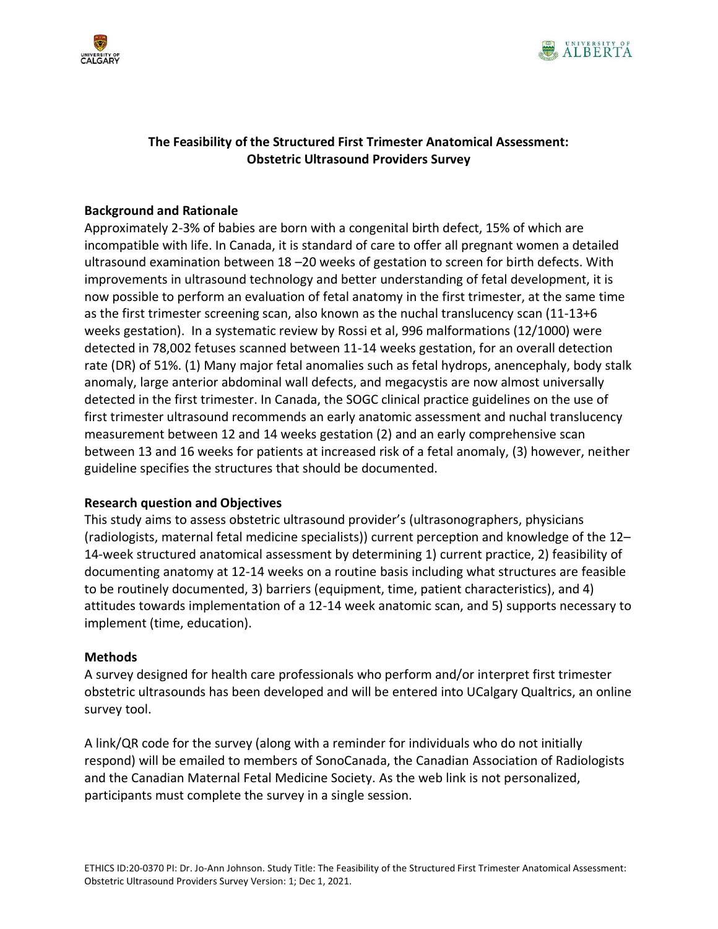



# **The Feasibility of the Structured First Trimester Anatomical Assessment: Obstetric Ultrasound Providers Survey**

### **Background and Rationale**

Approximately 2-3% of babies are born with a congenital birth defect, 15% of which are incompatible with life. In Canada, it is standard of care to offer all pregnant women a detailed ultrasound examination between 18 –20 weeks of gestation to screen for birth defects. With improvements in ultrasound technology and better understanding of fetal development, it is now possible to perform an evaluation of fetal anatomy in the first trimester, at the same time as the first trimester screening scan, also known as the nuchal translucency scan (11-13+6 weeks gestation). In a systematic review by Rossi et al, 996 malformations (12/1000) were detected in 78,002 fetuses scanned between 11-14 weeks gestation, for an overall detection rate (DR) of 51%. (1) Many major fetal anomalies such as fetal hydrops, anencephaly, body stalk anomaly, large anterior abdominal wall defects, and megacystis are now almost universally detected in the first trimester. In Canada, the SOGC clinical practice guidelines on the use of first trimester ultrasound recommends an early anatomic assessment and nuchal translucency measurement between 12 and 14 weeks gestation (2) and an early comprehensive scan between 13 and 16 weeks for patients at increased risk of a fetal anomaly, (3) however, neither guideline specifies the structures that should be documented.

### **Research question and Objectives**

This study aims to assess obstetric ultrasound provider's (ultrasonographers, physicians (radiologists, maternal fetal medicine specialists)) current perception and knowledge of the 12– 14-week structured anatomical assessment by determining 1) current practice, 2) feasibility of documenting anatomy at 12-14 weeks on a routine basis including what structures are feasible to be routinely documented, 3) barriers (equipment, time, patient characteristics), and 4) attitudes towards implementation of a 12-14 week anatomic scan, and 5) supports necessary to implement (time, education).

### **Methods**

A survey designed for health care professionals who perform and/or interpret first trimester obstetric ultrasounds has been developed and will be entered into UCalgary Qualtrics, an online survey tool.

A link/QR code for the survey (along with a reminder for individuals who do not initially respond) will be emailed to members of SonoCanada, the Canadian Association of Radiologists and the Canadian Maternal Fetal Medicine Society. As the web link is not personalized, participants must complete the survey in a single session.